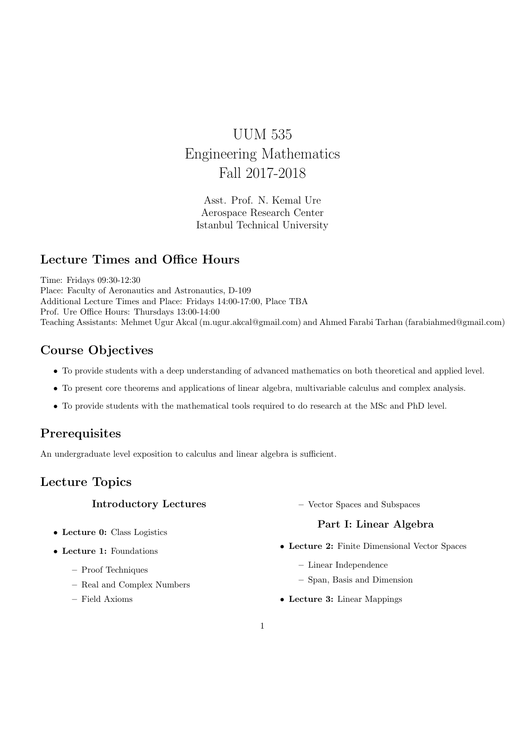# UUM 535 Engineering Mathematics Fall 2017-2018

Asst. Prof. N. Kemal Ure Aerospace Research Center Istanbul Technical University

### Lecture Times and Office Hours

Time: Fridays 09:30-12:30 Place: Faculty of Aeronautics and Astronautics, D-109 Additional Lecture Times and Place: Fridays 14:00-17:00, Place TBA Prof. Ure Office Hours: Thursdays 13:00-14:00 Teaching Assistants: Mehmet Ugur Akcal (m.ugur.akcal@gmail.com) and Ahmed Farabi Tarhan (farabiahmed@gmail.com)

# Course Objectives

- To provide students with a deep understanding of advanced mathematics on both theoretical and applied level.
- To present core theorems and applications of linear algebra, multivariable calculus and complex analysis.
- To provide students with the mathematical tools required to do research at the MSc and PhD level.

# **Prerequisites**

An undergraduate level exposition to calculus and linear algebra is sufficient.

# Lecture Topics

### Introductory Lectures

- Lecture 0: Class Logistics
- Lecture 1: Foundations
	- Proof Techniques
	- Real and Complex Numbers
	- Field Axioms

– Vector Spaces and Subspaces

### Part I: Linear Algebra

- Lecture 2: Finite Dimensional Vector Spaces
	- Linear Independence
	- Span, Basis and Dimension
- Lecture 3: Linear Mappings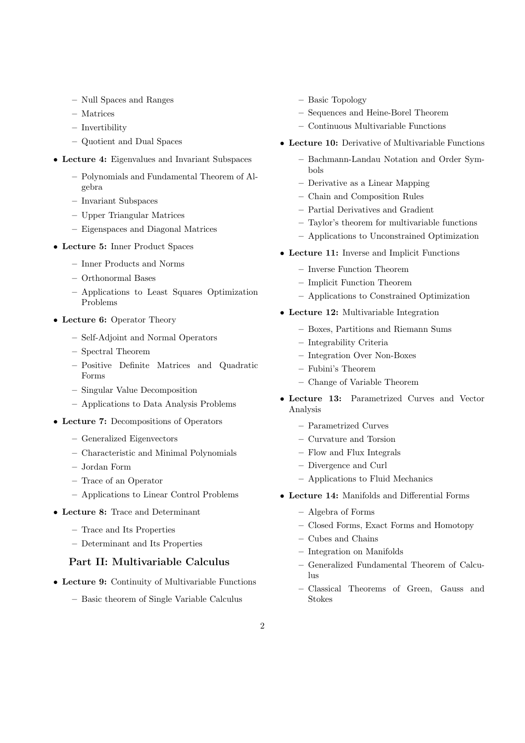- Null Spaces and Ranges
- Matrices
- Invertibility
- Quotient and Dual Spaces
- Lecture 4: Eigenvalues and Invariant Subspaces
	- Polynomials and Fundamental Theorem of Algebra
	- Invariant Subspaces
	- Upper Triangular Matrices
	- Eigenspaces and Diagonal Matrices
- Lecture 5: Inner Product Spaces
	- Inner Products and Norms
	- Orthonormal Bases
	- Applications to Least Squares Optimization Problems
- Lecture 6: Operator Theory
	- Self-Adjoint and Normal Operators
	- Spectral Theorem
	- Positive Definite Matrices and Quadratic Forms
	- Singular Value Decomposition
	- Applications to Data Analysis Problems
- Lecture 7: Decompositions of Operators
	- Generalized Eigenvectors
	- Characteristic and Minimal Polynomials
	- Jordan Form
	- Trace of an Operator
	- Applications to Linear Control Problems
- Lecture 8: Trace and Determinant
	- Trace and Its Properties
	- Determinant and Its Properties

#### Part II: Multivariable Calculus

- Lecture 9: Continuity of Multivariable Functions
	- Basic theorem of Single Variable Calculus
- Basic Topology
- Sequences and Heine-Borel Theorem
- Continuous Multivariable Functions
- Lecture 10: Derivative of Multivariable Functions
	- Bachmann-Landau Notation and Order Symbols
	- Derivative as a Linear Mapping
	- Chain and Composition Rules
	- Partial Derivatives and Gradient
	- Taylor's theorem for multivariable functions
	- Applications to Unconstrained Optimization
- Lecture 11: Inverse and Implicit Functions
	- Inverse Function Theorem
	- Implicit Function Theorem
	- Applications to Constrained Optimization
- Lecture 12: Multivariable Integration
	- Boxes, Partitions and Riemann Sums
	- Integrability Criteria
	- Integration Over Non-Boxes
	- Fubini's Theorem
	- Change of Variable Theorem
- Lecture 13: Parametrized Curves and Vector Analysis
	- Parametrized Curves
	- Curvature and Torsion
	- Flow and Flux Integrals
	- Divergence and Curl
	- Applications to Fluid Mechanics
- Lecture 14: Manifolds and Differential Forms
	- Algebra of Forms
	- Closed Forms, Exact Forms and Homotopy
	- Cubes and Chains
	- Integration on Manifolds
	- Generalized Fundamental Theorem of Calcu- $\ln s$
	- Classical Theorems of Green, Gauss and Stokes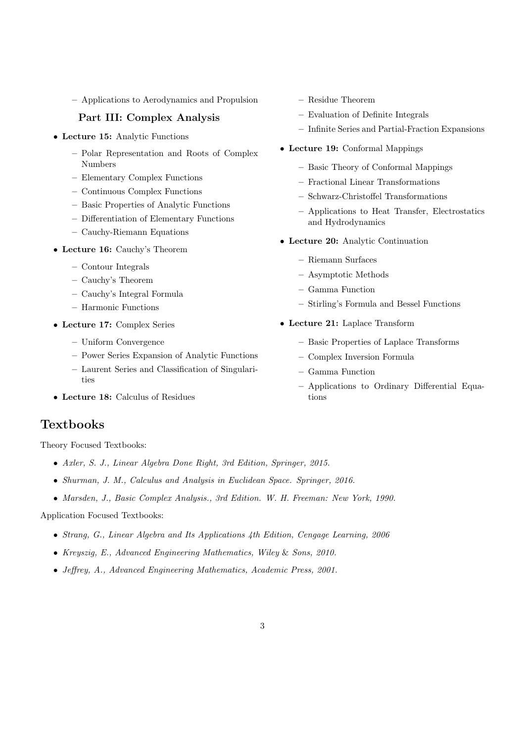– Applications to Aerodynamics and Propulsion

#### Part III: Complex Analysis

- Lecture 15: Analytic Functions
	- Polar Representation and Roots of Complex Numbers
	- Elementary Complex Functions
	- Continuous Complex Functions
	- Basic Properties of Analytic Functions
	- Differentiation of Elementary Functions
	- Cauchy-Riemann Equations
- Lecture 16: Cauchy's Theorem
	- Contour Integrals
	- Cauchy's Theorem
	- Cauchy's Integral Formula
	- Harmonic Functions
- Lecture 17: Complex Series
	- Uniform Convergence
	- Power Series Expansion of Analytic Functions
	- Laurent Series and Classification of Singularities
- Lecture 18: Calculus of Residues

### **Textbooks**

Theory Focused Textbooks:

- Axler, S. J., Linear Algebra Done Right, 3rd Edition, Springer, 2015.
- Shurman, J. M., Calculus and Analysis in Euclidean Space. Springer, 2016.
- Marsden, J., Basic Complex Analysis., 3rd Edition. W. H. Freeman: New York, 1990.

Application Focused Textbooks:

- Strang, G., Linear Algebra and Its Applications 4th Edition, Cengage Learning, 2006
- Kreyszig, E., Advanced Engineering Mathematics, Wiley & Sons, 2010.
- Jeffrey, A., Advanced Engineering Mathematics, Academic Press, 2001.
- Residue Theorem
- Evaluation of Definite Integrals
- Infinite Series and Partial-Fraction Expansions
- Lecture 19: Conformal Mappings
	- Basic Theory of Conformal Mappings
	- Fractional Linear Transformations
	- Schwarz-Christoffel Transformations
	- Applications to Heat Transfer, Electrostatics and Hydrodynamics
- Lecture 20: Analytic Continuation
	- Riemann Surfaces
	- Asymptotic Methods
	- Gamma Function
	- Stirling's Formula and Bessel Functions
- Lecture 21: Laplace Transform
	- Basic Properties of Laplace Transforms
	- Complex Inversion Formula
	- Gamma Function
	- Applications to Ordinary Differential Equations